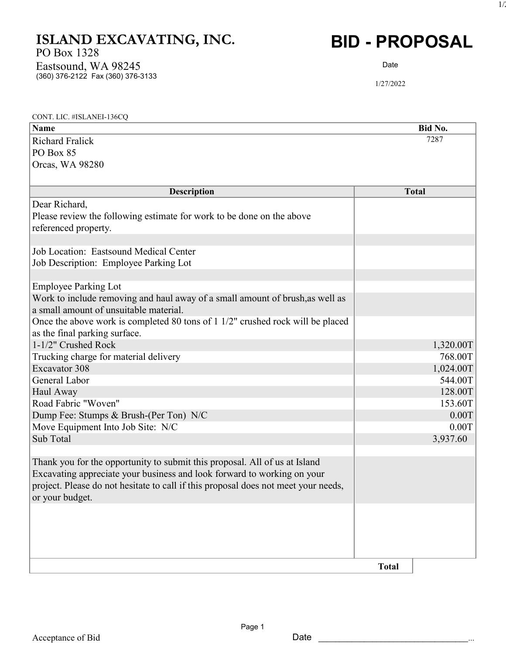## ISLAND EXCAVATING, INC.

PO Box 1328

(360) 376-2122 Fax (360) 376-3133 Eastsound, WA 98245

## BID - PROPOSAL

Date

1/27/2022

| CONT. LIC. #ISLANEI-136CQ                                                          |              |
|------------------------------------------------------------------------------------|--------------|
| Name                                                                               | Bid No.      |
| <b>Richard Fralick</b>                                                             | 7287         |
| PO Box 85                                                                          |              |
| Orcas, WA 98280                                                                    |              |
|                                                                                    |              |
| <b>Description</b>                                                                 | <b>Total</b> |
| Dear Richard,                                                                      |              |
| Please review the following estimate for work to be done on the above              |              |
| referenced property.                                                               |              |
|                                                                                    |              |
| Job Location: Eastsound Medical Center                                             |              |
| Job Description: Employee Parking Lot                                              |              |
|                                                                                    |              |
| <b>Employee Parking Lot</b>                                                        |              |
| Work to include removing and haul away of a small amount of brush, as well as      |              |
| a small amount of unsuitable material.                                             |              |
| Once the above work is completed 80 tons of 1 1/2" crushed rock will be placed     |              |
| as the final parking surface.                                                      |              |
| 1-1/2" Crushed Rock                                                                | 1,320.00T    |
| Trucking charge for material delivery                                              | 768.00T      |
| Excavator 308                                                                      | 1,024.00T    |
| General Labor                                                                      | 544.00T      |
| Haul Away                                                                          | 128.00T      |
| Road Fabric "Woven"                                                                | 153.60T      |
| Dump Fee: Stumps & Brush-(Per Ton) N/C                                             | 0.00T        |
| Move Equipment Into Job Site: N/C                                                  | 0.00T        |
| Sub Total                                                                          | 3,937.60     |
|                                                                                    |              |
| Thank you for the opportunity to submit this proposal. All of us at Island         |              |
| Excavating appreciate your business and look forward to working on your            |              |
| project. Please do not hesitate to call if this proposal does not meet your needs, |              |
| or your budget.                                                                    |              |
|                                                                                    |              |
|                                                                                    |              |
|                                                                                    |              |
|                                                                                    |              |
|                                                                                    | <b>Total</b> |